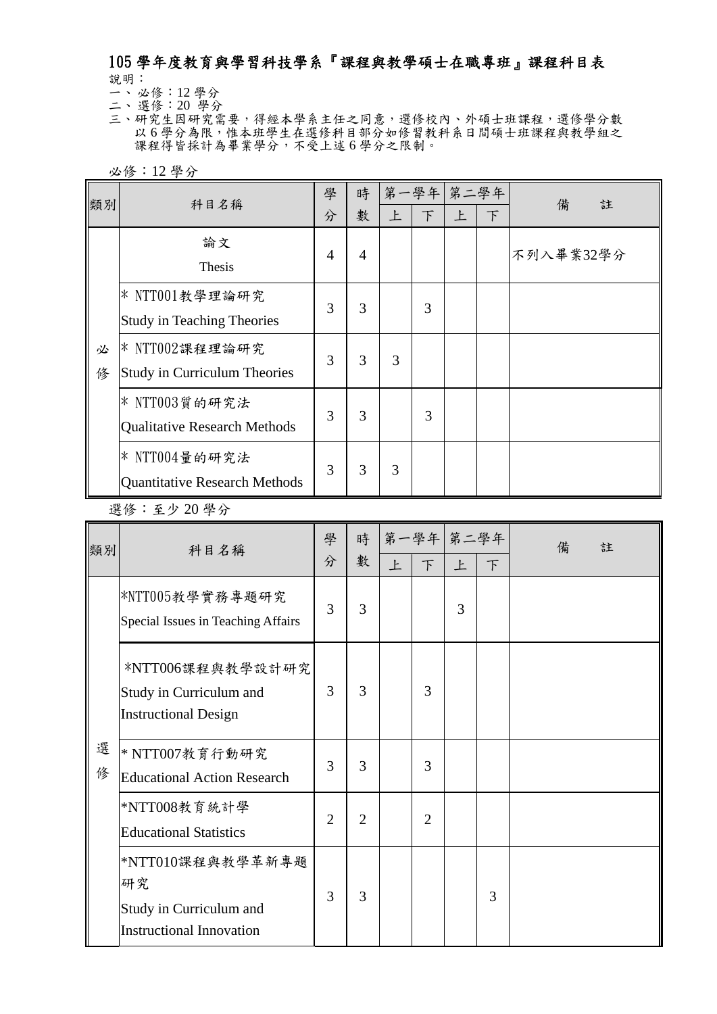## 105 學年度教育與學習科技學系『課程與教學碩士在職專班』課程科目表 說明:

一、 必修:12 學分

二、 選修:20 學分 三、研究生因研究需要,得經本學系主任之同意,選修校內、外碩士班課程,選修學分數 以6學分為限,惟本班學生在選修科目部分如修習教科系日間碩士班課程與教學組之 課程得皆採計為畢業學分,不受上述6學分之限制。

必修:12 學分

| 類別     | 科目名稱                                                    | 學              | 時              | 第一學年 第二學年 |        |   |   | 備<br>註    |
|--------|---------------------------------------------------------|----------------|----------------|-----------|--------|---|---|-----------|
|        |                                                         | 分              | 數              | 上         | $\top$ | 上 | 下 |           |
|        | 論文<br>Thesis                                            | $\overline{4}$ | $\overline{4}$ |           |        |   |   | 不列入畢業32學分 |
|        | * NTT001教學理論研究<br><b>Study in Teaching Theories</b>     | 3              | 3              |           | 3      |   |   |           |
| 必<br>俢 | * NTT002課程理論研究<br><b>Study in Curriculum Theories</b>   | 3              | 3              | 3         |        |   |   |           |
|        | * NTT003質的研究法<br><b>Qualitative Research Methods</b>    | 3              | 3              |           | 3      |   |   |           |
|        | $*$ NTT004量的研究法<br><b>Quantitative Research Methods</b> | 3              | 3              | 3         |        |   |   |           |

## 選修:至少 20 學分

| 類別     | 科目名稱                                                                                 | 學<br>分         | 時<br>數         | 上 | 第一學年 第二學年<br>$\top$ | 上 | F | 備<br>註 |
|--------|--------------------------------------------------------------------------------------|----------------|----------------|---|---------------------|---|---|--------|
|        | *NTT005教學實務專題研究<br>Special Issues in Teaching Affairs                                | 3              | 3              |   |                     | 3 |   |        |
|        | *NTT006課程與教學設計研究<br>Study in Curriculum and<br><b>Instructional Design</b>           | 3              | 3              |   | 3                   |   |   |        |
| 選<br>俢 | $*$ NTT007教育行動研究<br><b>Educational Action Research</b>                               | 3              | 3              |   | 3                   |   |   |        |
|        | *NTT008教育統計學<br><b>Educational Statistics</b>                                        | $\overline{2}$ | $\overline{2}$ |   | $\overline{2}$      |   |   |        |
|        | *NTT010課程與教學革新專題<br>研究<br>Study in Curriculum and<br><b>Instructional Innovation</b> | 3              | 3              |   |                     |   | 3 |        |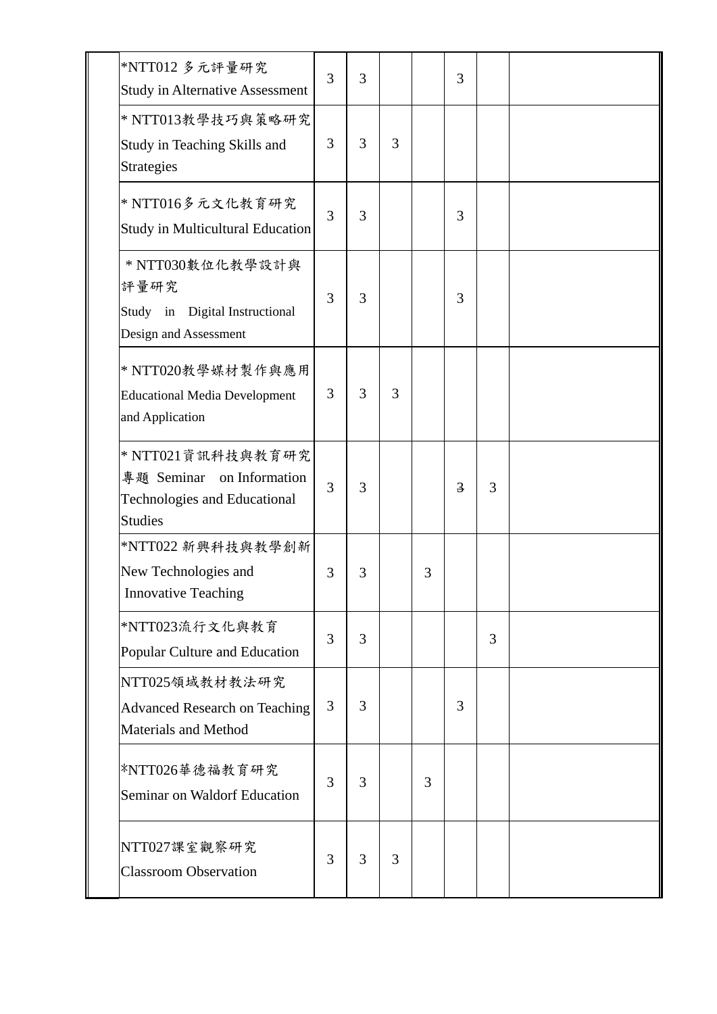| *NTT012 多元評量研究<br><b>Study in Alternative Assessment</b>                                                | 3 | 3 |   |   | 3              |   |  |
|---------------------------------------------------------------------------------------------------------|---|---|---|---|----------------|---|--|
| * NTT013教學技巧與策略研究<br>Study in Teaching Skills and<br>Strategies                                         | 3 | 3 | 3 |   |                |   |  |
| * NTT016多元文化教育研究<br>Study in Multicultural Education                                                    | 3 | 3 |   |   | 3              |   |  |
| * NTT030數位化教學設計與<br>評量研究<br>Study in Digital Instructional<br>Design and Assessment                     | 3 | 3 |   |   | 3              |   |  |
| * NTT020教學媒材製作與應用<br><b>Educational Media Development</b><br>and Application                            | 3 | 3 | 3 |   |                |   |  |
| * NTT021資訊科技與教育研究<br>專題 Seminar on Information<br><b>Technologies and Educational</b><br><b>Studies</b> | 3 | 3 |   |   | $\overline{3}$ | 3 |  |
| *NTT022 新興科技與教學創新<br>New Technologies and<br><b>Innovative Teaching</b>                                 | 3 | 3 |   | 3 |                |   |  |
| *NTT023流行文化與教育<br>Popular Culture and Education                                                         | 3 | 3 |   |   |                | 3 |  |
| NTT025領域教材教法研究<br><b>Advanced Research on Teaching</b><br><b>Materials and Method</b>                   | 3 | 3 |   |   | 3              |   |  |
| *NTT026華德福教育研究<br>Seminar on Waldorf Education                                                          | 3 | 3 |   | 3 |                |   |  |
| NTT027課室觀察研究<br><b>Classroom Observation</b>                                                            | 3 | 3 | 3 |   |                |   |  |